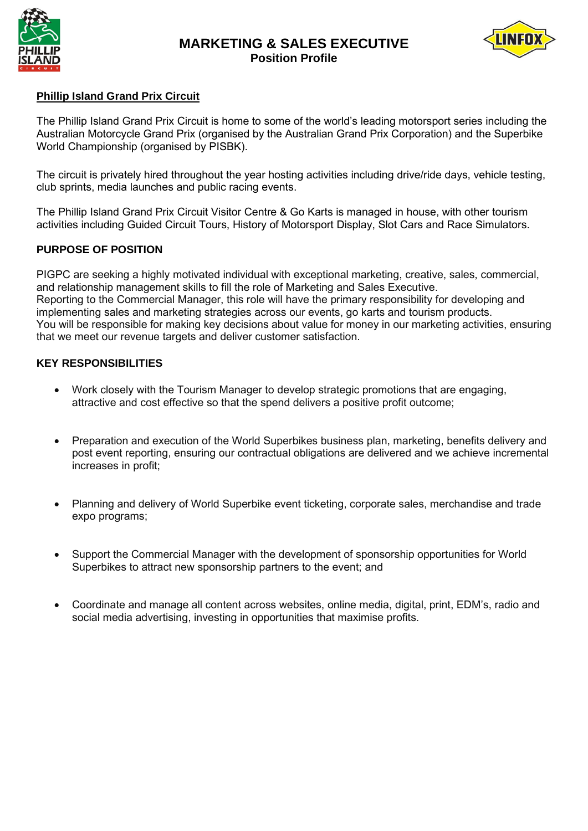

# **MARKETING & SALES EXECUTIVE Position Profile**



### **Phillip Island Grand Prix Circuit**

The Phillip Island Grand Prix Circuit is home to some of the world's leading motorsport series including the Australian Motorcycle Grand Prix (organised by the Australian Grand Prix Corporation) and the Superbike World Championship (organised by PISBK).

The circuit is privately hired throughout the year hosting activities including drive/ride days, vehicle testing, club sprints, media launches and public racing events.

The Phillip Island Grand Prix Circuit Visitor Centre & Go Karts is managed in house, with other tourism activities including Guided Circuit Tours, History of Motorsport Display, Slot Cars and Race Simulators.

## **PURPOSE OF POSITION**

PIGPC are seeking a highly motivated individual with exceptional marketing, creative, sales, commercial, and relationship management skills to fill the role of Marketing and Sales Executive. Reporting to the Commercial Manager, this role will have the primary responsibility for developing and implementing sales and marketing strategies across our events, go karts and tourism products. You will be responsible for making key decisions about value for money in our marketing activities, ensuring that we meet our revenue targets and deliver customer satisfaction.

#### **KEY RESPONSIBILITIES**

- Work closely with the Tourism Manager to develop strategic promotions that are engaging, attractive and cost effective so that the spend delivers a positive profit outcome;
- Preparation and execution of the World Superbikes business plan, marketing, benefits delivery and post event reporting, ensuring our contractual obligations are delivered and we achieve incremental increases in profit;
- Planning and delivery of World Superbike event ticketing, corporate sales, merchandise and trade expo programs;
- Support the Commercial Manager with the development of sponsorship opportunities for World Superbikes to attract new sponsorship partners to the event; and
- Coordinate and manage all content across websites, online media, digital, print, EDM's, radio and social media advertising, investing in opportunities that maximise profits.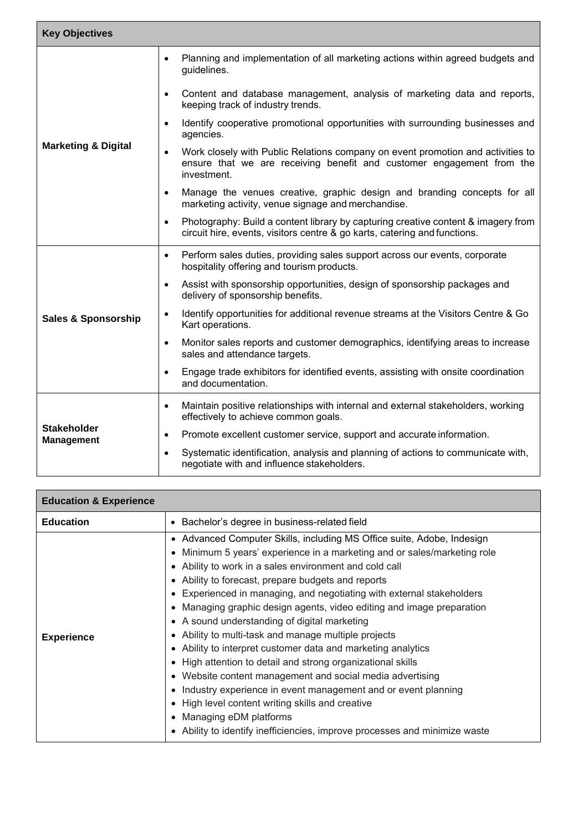| <b>Key Objectives</b>                   |                                                                                                                                                                                      |  |
|-----------------------------------------|--------------------------------------------------------------------------------------------------------------------------------------------------------------------------------------|--|
| <b>Marketing &amp; Digital</b>          | Planning and implementation of all marketing actions within agreed budgets and<br>$\bullet$<br>guidelines.                                                                           |  |
|                                         | Content and database management, analysis of marketing data and reports,<br>$\bullet$<br>keeping track of industry trends.                                                           |  |
|                                         | Identify cooperative promotional opportunities with surrounding businesses and<br>$\bullet$<br>agencies.                                                                             |  |
|                                         | Work closely with Public Relations company on event promotion and activities to<br>$\bullet$<br>ensure that we are receiving benefit and customer engagement from the<br>investment. |  |
|                                         | Manage the venues creative, graphic design and branding concepts for all<br>$\bullet$<br>marketing activity, venue signage and merchandise.                                          |  |
|                                         | Photography: Build a content library by capturing creative content & imagery from<br>$\bullet$<br>circuit hire, events, visitors centre & go karts, catering and functions.          |  |
| <b>Sales &amp; Sponsorship</b>          | Perform sales duties, providing sales support across our events, corporate<br>$\bullet$<br>hospitality offering and tourism products.                                                |  |
|                                         | Assist with sponsorship opportunities, design of sponsorship packages and<br>$\bullet$<br>delivery of sponsorship benefits.                                                          |  |
|                                         | Identify opportunities for additional revenue streams at the Visitors Centre & Go<br>$\bullet$<br>Kart operations.                                                                   |  |
|                                         | Monitor sales reports and customer demographics, identifying areas to increase<br>$\bullet$<br>sales and attendance targets.                                                         |  |
|                                         | Engage trade exhibitors for identified events, assisting with onsite coordination<br>$\bullet$<br>and documentation.                                                                 |  |
| <b>Stakeholder</b><br><b>Management</b> | Maintain positive relationships with internal and external stakeholders, working<br>$\bullet$<br>effectively to achieve common goals.                                                |  |
|                                         | Promote excellent customer service, support and accurate information.<br>$\bullet$                                                                                                   |  |
|                                         | Systematic identification, analysis and planning of actions to communicate with,<br>$\bullet$<br>negotiate with and influence stakeholders.                                          |  |

| <b>Education &amp; Experience</b> |                                                                                                                                                                                                                                                                                                                                                                                                                                                                                                                                                                                                                                                                                                                                                                                                                                                                                                                                                     |
|-----------------------------------|-----------------------------------------------------------------------------------------------------------------------------------------------------------------------------------------------------------------------------------------------------------------------------------------------------------------------------------------------------------------------------------------------------------------------------------------------------------------------------------------------------------------------------------------------------------------------------------------------------------------------------------------------------------------------------------------------------------------------------------------------------------------------------------------------------------------------------------------------------------------------------------------------------------------------------------------------------|
| <b>Education</b>                  | • Bachelor's degree in business-related field                                                                                                                                                                                                                                                                                                                                                                                                                                                                                                                                                                                                                                                                                                                                                                                                                                                                                                       |
| <b>Experience</b>                 | • Advanced Computer Skills, including MS Office suite, Adobe, Indesign<br>• Minimum 5 years' experience in a marketing and or sales/marketing role<br>• Ability to work in a sales environment and cold call<br>• Ability to forecast, prepare budgets and reports<br>• Experienced in managing, and negotiating with external stakeholders<br>• Managing graphic design agents, video editing and image preparation<br>• A sound understanding of digital marketing<br>• Ability to multi-task and manage multiple projects<br>• Ability to interpret customer data and marketing analytics<br>• High attention to detail and strong organizational skills<br>Website content management and social media advertising<br>Industry experience in event management and or event planning<br>• High level content writing skills and creative<br>• Managing eDM platforms<br>Ability to identify inefficiencies, improve processes and minimize waste |